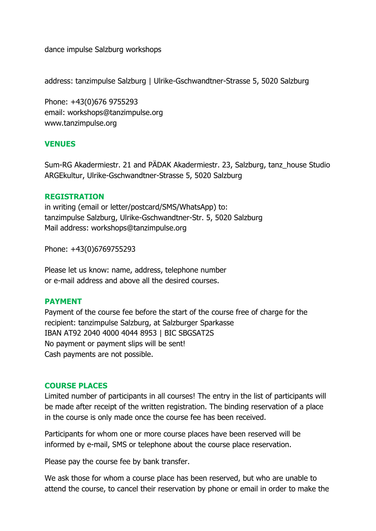dance impulse Salzburg workshops

address: tanzimpulse Salzburg | Ulrike-Gschwandtner-Strasse 5, 5020 Salzburg

Phone: +43(0)676 9755293 email: workshops@tanzimpulse.org www.tanzimpulse.org

### **VENUES**

Sum-RG Akadermiestr. 21 and PÄDAK Akadermiestr. 23, Salzburg, tanz\_house Studio ARGEkultur, Ulrike-Gschwandtner-Strasse 5, 5020 Salzburg

#### **REGISTRATION**

in writing (email or letter/postcard/SMS/WhatsApp) to: tanzimpulse Salzburg, Ulrike-Gschwandtner-Str. 5, 5020 Salzburg Mail address: workshops@tanzimpulse.org

Phone: +43(0)6769755293

Please let us know: name, address, telephone number or e-mail address and above all the desired courses.

### **PAYMENT**

Payment of the course fee before the start of the course free of charge for the recipient: tanzimpulse Salzburg, at Salzburger Sparkasse IBAN AT92 2040 4000 4044 8953 | BIC SBGSAT2S No payment or payment slips will be sent! Cash payments are not possible.

#### **COURSE PLACES**

Limited number of participants in all courses! The entry in the list of participants will be made after receipt of the written registration. The binding reservation of a place in the course is only made once the course fee has been received.

Participants for whom one or more course places have been reserved will be informed by e-mail, SMS or telephone about the course place reservation.

Please pay the course fee by bank transfer.

We ask those for whom a course place has been reserved, but who are unable to attend the course, to cancel their reservation by phone or email in order to make the